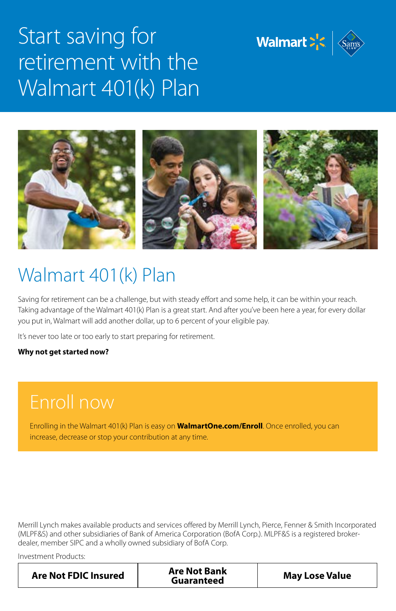

# Start saving for retirement with the Walmart 401(k) Plan



# Walmart 401(k) Plan

Saving for retirement can be a challenge, but with steady effort and some help, it can be within your reach. Taking advantage of the Walmart 401(k) Plan is a great start. And after you've been here a year, for every dollar you put in, Walmart will add another dollar, up to 6 percent of your eligible pay.

It's never too late or too early to start preparing for retirement.

#### **Why not get started now?**

#### Enroll now

Enrolling in the Walmart 401(k) Plan is easy on **WalmartOne.com/Enroll**. Once enrolled, you can increase, decrease or stop your contribution at any time.

Merrill Lynch makes available products and services offered by Merrill Lynch, Pierce, Fenner & Smith Incorporated (MLPF&S) and other subsidiaries of Bank of America Corporation (BofA Corp.). MLPF&S is a registered brokerdealer, member SIPC and a wholly owned subsidiary of BofA Corp.

Investment Products:

| <b>Are Not FDIC Insured</b> | <b>Are Not Bank</b><br>Guaranteed | <b>May Lose Value</b> |
|-----------------------------|-----------------------------------|-----------------------|
|-----------------------------|-----------------------------------|-----------------------|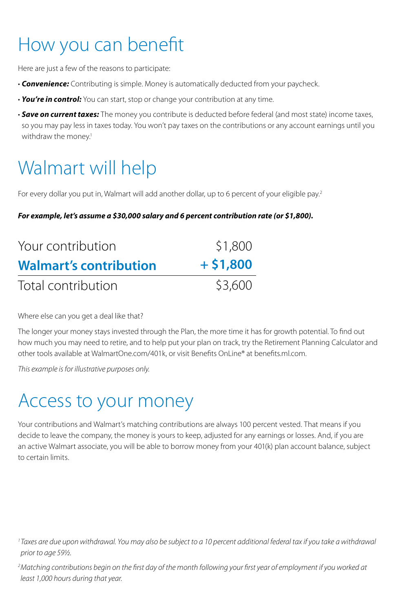# How you can benefit

Here are just a few of the reasons to participate:

- *Convenience:* Contributing is simple. Money is automatically deducted from your paycheck.
- *You're in control:* You can start, stop or change your contribution at any time.
- *Save on current taxes:* The money you contribute is deducted before federal (and most state) income taxes, so you may pay less in taxes today. You won't pay taxes on the contributions or any account earnings until you withdraw the money.<sup>1</sup>

# Walmart will help

For every dollar you put in, Walmart will add another dollar, up to 6 percent of your eligible pay.<sup>2</sup>

#### *For example, let's assume a \$30,000 salary and 6 percent contribution rate (or \$1,800).*

| Your contribution             | \$1,800<br>$+ $1,800$ |
|-------------------------------|-----------------------|
| <b>Walmart's contribution</b> |                       |
| Total contribution            | \$3,600               |

Where else can you get a deal like that?

The longer your money stays invested through the Plan, the more time it has for growth potential. To find out how much you may need to retire, and to help put your plan on track, try the Retirement Planning Calculator and other tools available at WalmartOne.com/401k, or visit Benefits OnLine® at benefits.ml.com.

*This example is for illustrative purposes only.*

### Access to your money

Your contributions and Walmart's matching contributions are always 100 percent vested. That means if you decide to leave the company, the money is yours to keep, adjusted for any earnings or losses. And, if you are an active Walmart associate, you will be able to borrow money from your 401(k) plan account balance, subject to certain limits.

*2 Matching contributions begin on the first day of the month following your first year of employment if you worked at least 1,000 hours during that year.*

*<sup>1</sup> Taxes are due upon withdrawal. You may also be subject to a 10 percent additional federal tax if you take a withdrawal prior to age 59½.*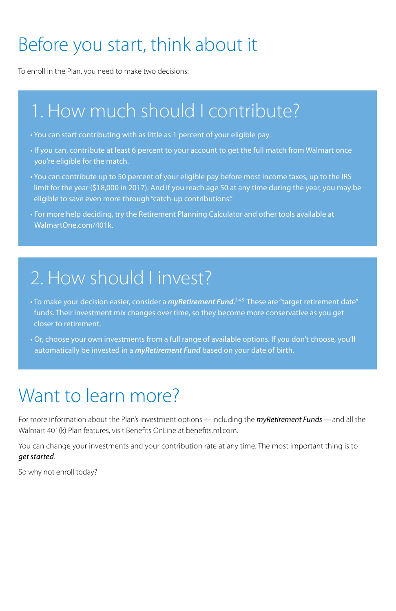# Before you start, think about it

To enroll in the Plan, you need to make two decisions:

# 1. How much should I contribute?

- You can start contributing with as little as 1 percent of your eligible pay.
- If you can, contribute at least 6 percent to your account to get the full match from Walmart once you're eligible for the match.
- You can contribute up to 50 percent of your eligible pay before most income taxes, up to the IRS limit for the year (\$18,000 in 2017). And if you reach age 50 at any time during the year, you may be eligible to save even more through "catch-up contributions."
- For more help deciding, try the Retirement Planning Calculator and other tools available at WalmartOne.com/401k.

### 2. How should I invest?

- To make your decision easier, consider a *myRetirement Fund.*<sup>3,4,5</sup> These are "target retirement date" funds. Their investment mix changes over time, so they become more conservative as you get closer to retirement.
- Or, choose your own investments from a full range of available options. If you don't choose, you'll automatically be invested in a *myRetirement Fund* based on your date of birth.

# Want to learn more?

For more information about the Plan's investment options—including the *myRetirement Funds*—and all the Walmart 401(k) Plan features, visit Benefits OnLine at benefits.ml.com.

You can change your investments and your contribution rate at any time. The most important thing is to *get started*.

So why not enroll today?